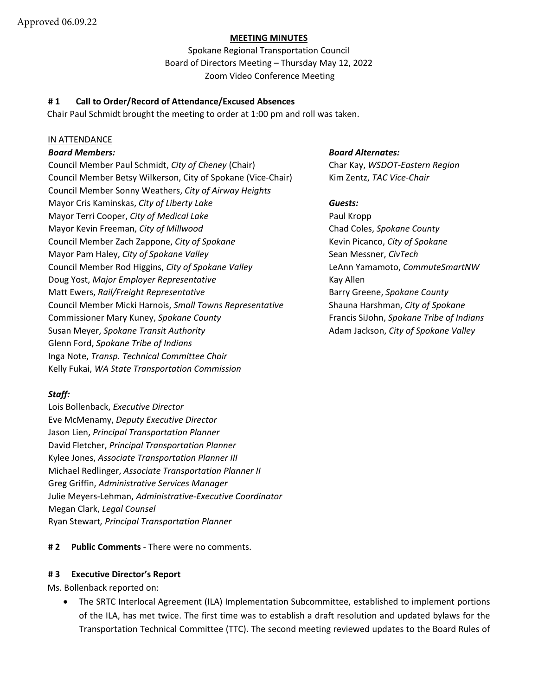## **MEETING MINUTES**

Spokane Regional Transportation Council Board of Directors Meeting – Thursday May 12, 2022 Zoom Video Conference Meeting

## **# 1 Call to Order/Record of Attendance/Excused Absences**

Chair Paul Schmidt brought the meeting to order at 1:00 pm and roll was taken.

## IN ATTENDANCE

Council Member Paul Schmidt, *City of Cheney* (Chair) Char Kay, *WSDOT-Eastern Region* Council Member Betsy Wilkerson, City of Spokane (Vice-Chair) Kim Zentz, TAC Vice-Chair Council Member Sonny Weathers, *City of Airway Heights* Mayor Cris Kaminskas, *City of Liberty Lake Guests:*  Mayor Terri Cooper, *City of Medical Lake* Paul Kropp Mayor Kevin Freeman, *City of Millwood* Chad Coles, *Spokane County* Council Member Zach Zappone, *City of Spokane* Kevin Picanco, *City of Spokane* Mayor Pam Haley, *City of Spokane Valley* Sean Messner, *CivTech* Sean Messner, *CivTech* Council Member Rod Higgins, *City of Spokane Valley* LeAnn Yamamoto, *CommuteSmartNW* Doug Yost, *Major Employer Representative* Kay Allen Matt Ewers, *Rail/Freight Representative* **Barry Greene, Spokane County Barry Greene**, *Spokane County* Council Member Micki Harnois, *Small Towns Representative* Shauna Harshman, *City of Spokane* Commissioner Mary Kuney, *Spokane County* Francis SiJohn, *Spokane Tribe of Indians* Susan Meyer, *Spokane Transit Authority* Adam Jackson, *City of Spokane Valley* Glenn Ford, *Spokane Tribe of Indians* Inga Note, *Transp. Technical Committee Chair* Kelly Fukai, *WA State Transportation Commission*

## *Board Members: Board Alternates:*

# *Staff:*

Lois Bollenback, *Executive Director* Eve McMenamy, *Deputy Executive Director* Jason Lien, *Principal Transportation Planner* David Fletcher, *Principal Transportation Planner* Kylee Jones, *Associate Transportation Planner III* Michael Redlinger, *Associate Transportation Planner II* Greg Griffin, *Administrative Services Manager* Julie Meyers-Lehman, *Administrative-Executive Coordinator* Megan Clark, *Legal Counsel* Ryan Stewart*, Principal Transportation Planner*

# **# 2 Public Comments** - There were no comments.

## **# 3 Executive Director's Report**

Ms. Bollenback reported on:

• The SRTC Interlocal Agreement (ILA) Implementation Subcommittee, established to implement portions of the ILA, has met twice. The first time was to establish a draft resolution and updated bylaws for the Transportation Technical Committee (TTC). The second meeting reviewed updates to the Board Rules of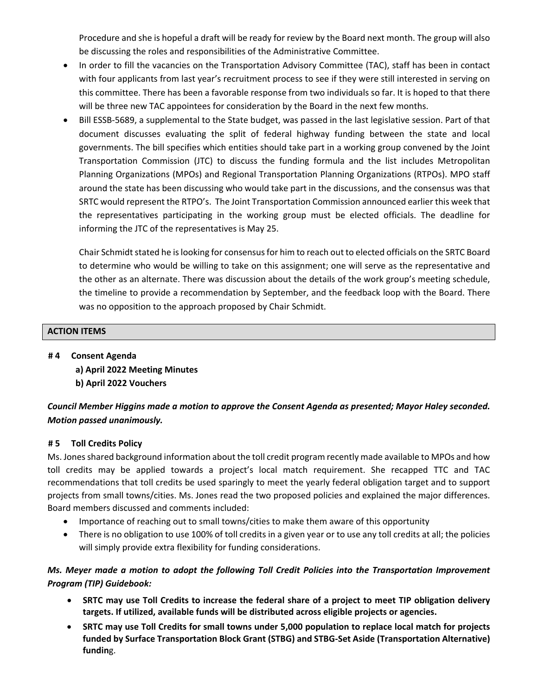Procedure and she is hopeful a draft will be ready for review by the Board next month. The group will also be discussing the roles and responsibilities of the Administrative Committee.

- In order to fill the vacancies on the Transportation Advisory Committee (TAC), staff has been in contact with four applicants from last year's recruitment process to see if they were still interested in serving on this committee. There has been a favorable response from two individuals so far. It is hoped to that there will be three new TAC appointees for consideration by the Board in the next few months.
- Bill ESSB-5689, a supplemental to the State budget, was passed in the last legislative session. Part of that document discusses evaluating the split of federal highway funding between the state and local governments. The bill specifies which entities should take part in a working group convened by the Joint Transportation Commission (JTC) to discuss the funding formula and the list includes Metropolitan Planning Organizations (MPOs) and Regional Transportation Planning Organizations (RTPOs). MPO staff around the state has been discussing who would take part in the discussions, and the consensus was that SRTC would represent the RTPO's. The Joint Transportation Commission announced earlier this week that the representatives participating in the working group must be elected officials. The deadline for informing the JTC of the representatives is May 25.

Chair Schmidt stated he is looking for consensus for him to reach out to elected officials on the SRTC Board to determine who would be willing to take on this assignment; one will serve as the representative and the other as an alternate. There was discussion about the details of the work group's meeting schedule, the timeline to provide a recommendation by September, and the feedback loop with the Board. There was no opposition to the approach proposed by Chair Schmidt.

# **ACTION ITEMS**

**# 4 Consent Agenda a) April 2022 Meeting Minutes b) April 2022 Vouchers** 

# *Council Member Higgins made a motion to approve the Consent Agenda as presented; Mayor Haley seconded. Motion passed unanimously.*

## **# 5 Toll Credits Policy**

Ms. Jonesshared background information about the toll credit program recently made available to MPOs and how toll credits may be applied towards a project's local match requirement. She recapped TTC and TAC recommendations that toll credits be used sparingly to meet the yearly federal obligation target and to support projects from small towns/cities. Ms. Jones read the two proposed policies and explained the major differences. Board members discussed and comments included:

- Importance of reaching out to small towns/cities to make them aware of this opportunity
- There is no obligation to use 100% of toll credits in a given year or to use any toll credits at all; the policies will simply provide extra flexibility for funding considerations.

# *Ms. Meyer made a motion to adopt the following Toll Credit Policies into the Transportation Improvement Program (TIP) Guidebook:*

- **SRTC may use Toll Credits to increase the federal share of a project to meet TIP obligation delivery targets. If utilized, available funds will be distributed across eligible projects or agencies.**
- **SRTC may use Toll Credits for small towns under 5,000 population to replace local match for projects funded by Surface Transportation Block Grant (STBG) and STBG-Set Aside (Transportation Alternative) fundin**g.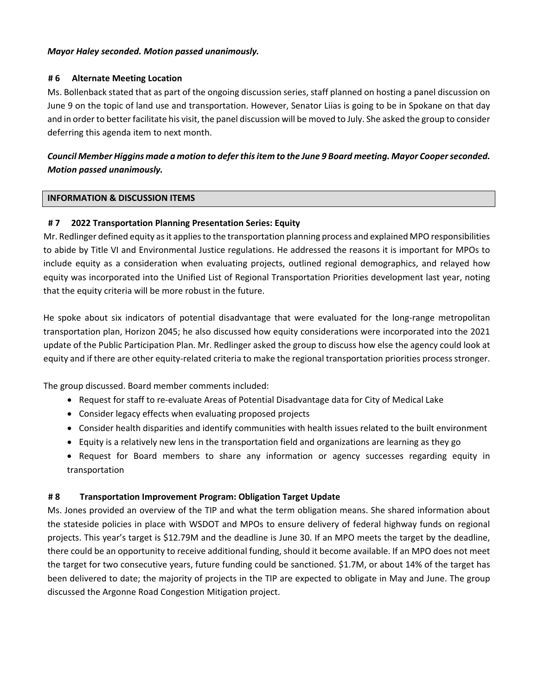### *Mayor Haley seconded. Motion passed unanimously.*

### **# 6 Alternate Meeting Location**

Ms. Bollenback stated that as part of the ongoing discussion series, staff planned on hosting a panel discussion on June 9 on the topic of land use and transportation. However, Senator Liias is going to be in Spokane on that day and in order to better facilitate his visit, the panel discussion will be moved to July. She asked the group to consider deferring this agenda item to next month.

# *Council Member Higgins made a motion to defer this item to the June 9 Board meeting. Mayor Cooperseconded. Motion passed unanimously.*

## **INFORMATION & DISCUSSION ITEMS**

## **# 7 2022 Transportation Planning Presentation Series: Equity**

Mr. Redlinger defined equity as it applies to the transportation planning process and explained MPO responsibilities to abide by Title VI and Environmental Justice regulations. He addressed the reasons it is important for MPOs to include equity as a consideration when evaluating projects, outlined regional demographics, and relayed how equity was incorporated into the Unified List of Regional Transportation Priorities development last year, noting that the equity criteria will be more robust in the future.

He spoke about six indicators of potential disadvantage that were evaluated for the long-range metropolitan transportation plan, Horizon 2045; he also discussed how equity considerations were incorporated into the 2021 update of the Public Participation Plan. Mr. Redlinger asked the group to discuss how else the agency could look at equity and if there are other equity-related criteria to make the regional transportation priorities process stronger.

The group discussed. Board member comments included:

- Request for staff to re-evaluate Areas of Potential Disadvantage data for City of Medical Lake
- Consider legacy effects when evaluating proposed projects
- Consider health disparities and identify communities with health issues related to the built environment
- Equity is a relatively new lens in the transportation field and organizations are learning as they go
- Request for Board members to share any information or agency successes regarding equity in transportation

## **# 8 Transportation Improvement Program: Obligation Target Update**

Ms. Jones provided an overview of the TIP and what the term obligation means. She shared information about the stateside policies in place with WSDOT and MPOs to ensure delivery of federal highway funds on regional projects. This year's target is \$12.79M and the deadline is June 30. If an MPO meets the target by the deadline, there could be an opportunity to receive additional funding, should it become available. If an MPO does not meet the target for two consecutive years, future funding could be sanctioned. \$1.7M, or about 14% of the target has been delivered to date; the majority of projects in the TIP are expected to obligate in May and June. The group discussed the Argonne Road Congestion Mitigation project.